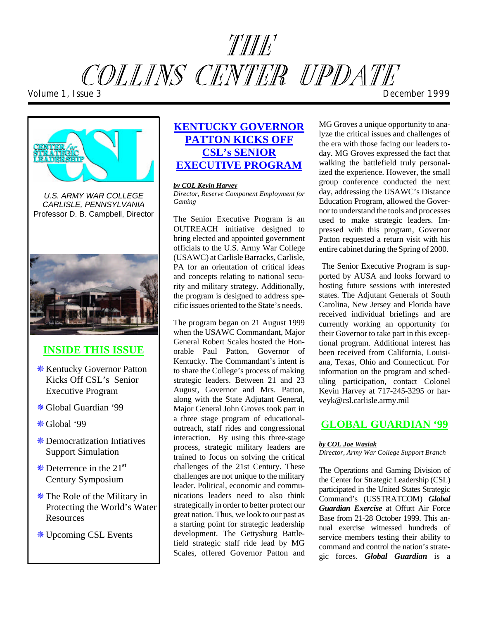# THE COLLINS CENTER UPDATE *Volume 1, Issue 3 December 1999*



*U.S. ARMY WAR COLLEGE CARLISLE, PENNSYLVANIA*  Professor D. B. Campbell, Director



# **INSIDE THIS ISSUE**

- *<u><b>ِ*\* Kentucky Governor Patton</u> Kicks Off CSL's Senior Executive Program
- �Global Guardian '99
- �Global '99
- **\*** Democratization Intiatives Support Simulation
- �De ter rence in the 21**st**  Century Symposium
- �The Role of the Military in Protecting the World's Water **Resources**
- �Upcoming CSL Events

# **KENTUCKY GOVERNOR PATTON KICKS OFF CSL's SENIOR EXECUTIVE PROGRAM**

#### *by COL Kevin Harvey*

*Director, Reserve Component Employment for Gaming* 

The Senior Executive Program is an OUTREACH initiative designed to bring elected and appointed government officials to the U.S. Army War College (USAWC) at Carlisle Barracks, Carlisle, PA for an orientation of critical ideas and concepts relating to national security and military strategy. Additionally, the program is designed to address specific issues oriented to the State's needs.

The program began on 21 August 1999 when the USAWC Commandant, Major General Robert Scales hosted the Honorable Paul Patton, Governor of Kentucky. The Commandant's intent is to share the College's process of making strategic leaders. Between 21 and 23 August, Governor and Mrs. Patton, along with the State Adjutant General, Ma jor General John Groves took part in a three stage program of educationaloutreach, staff rides and congressional interaction. By using this three-stage process, strategic military leaders are trained to focus on solving the critical challenges of the 21st Century. These challenges are not unique to the military leader. Political, economic and communications leaders need to also think strategically in order to better protect our great nation. Thus, we look to our past as a starting point for strategic leadership development. The Gettysburg Battlefield strategic staff ride lead by MG Scales, offered Governor Patton and MG Groves a unique opportunity to analyze the critical issues and challenges of the era with those facing our leaders today. MG Groves expressed the fact that walking the battle field truly personalized the experience. However, the small group conference conducted the next day, addressing the USAWC's Distance Education Program, allowed the Governor to understand the tools and processes used to make strategic leaders. Impressed with this program, Governor Patton requested a return visit with his entire cabinet during the Spring of 2000.

The Senior Executive Program is supported by AUSA and looks forward to hosting future sessions with interested states. The Adjutant Generals of South Carolina, New Jersey and Florida have received individual briefings and are currently working an opportunity for their Governor to take part in this exceptional program. Additional interest has been received from California, Louisiana, Texas, Ohio and Connecticut. For information on the program and scheduling participation, contact Colonel Kevin Harvey at 717-245-3295 or harveyk@csl.carlisle.army.mil

## **GLOBAL GUARDIAN '99**

#### *by COL Joe Wasiak*

*Di rec tor, Army War College Support Branch* 

The Operations and Gaming Division of the Center for Strategic Leadership (CSL) participated in the United States Strategic Com mand's (USSTRATCOM) *Global*  **Guardian Exercise** at Offutt Air Force Base from 21-28 October 1999. This annual exercise witnessed hundreds of service members testing their ability to command and control the nation's strategic forces. *Global Guardian* is a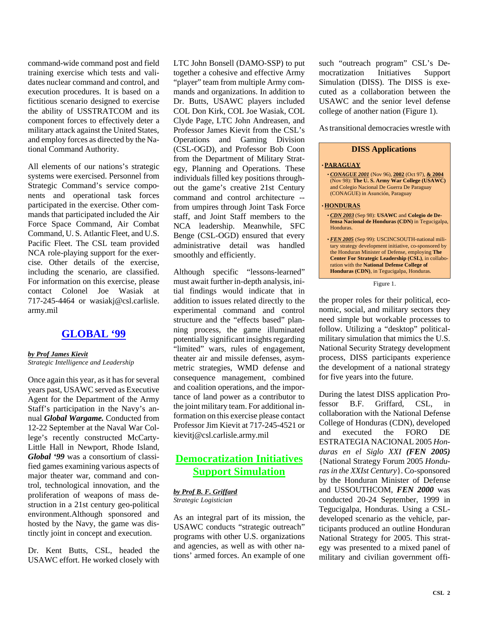command- wide command post and field training exercise which tests and validates nuclear command and control, and execution procedures. It is based on a fictitious scenario designed to exercise the ability of USSTRATCOM and its component forces to effectively deter a military attack against the United States, and employ forces as directed by the National Command Authority.

All elements of our nations's strategic systems were exercised. Personnel from Strategic Command's service components and operational task forces participated in the exercise. Other commands that participated included the Air Force Space Command, Air Combat Command, U.S. Atlantic Fleet, and U.S. Pacific Fleet. The CSL team provided NCA role-playing support for the exercise. Other details of the exercise, including the scenario, are classified. For information on this exercise, please con tact Colonel Joe Wasiak at 717-245-4464 or wasiakj@csl.carlisle. army.mil

#### **GLOBAL '99**

#### *by Prof James Kievit*

*Strategic Intelligence and Leadership* 

Once again this year, as it has for several years past, USAWC served as Executive Agent for the Department of the Army Staff's participation in the Navy's annual *Global Wargame.* Conducted from 12-22 September at the Naval War Colle ge's recently constructed McCarty-Little Hall in Newport, Rhode Island, *Global* '99 was a consortium of classified games examining various aspects of major theater war, command and control, technological innovation, and the proliferation of weapons of mass destruction in a 21st century geo-political environment.Although sponsored and hosted by the Navy, the game was distinctly joint in concept and execution.

Dr. Kent Butts, CSL, headed the USAWC effort. He worked closely with LTC John Bonsell (DAMO-SSP) to put together a cohesive and effective Army "player" team from multiple Army commands and organizations. In addition to Dr. Butts, USAWC players included COL Don Kirk, COL Joe Wasiak, COL Clyde Page, LTC John Andreasen, and Professor James Kievit from the CSL's Operations and Gaming Division (CSL-OGD), and Professor Bob Coon from the Department of Military Strategy, Planning and Operations. These individuals filled key positions throughout the game's creative 21st Century command and control architecture -from umpires through Joint Task Force staff, and Joint Staff members to the NCA leadership. Meanwhile, SFC Benge (CSL-OGD) ensured that every administrative detail was handled smoothly and efficiently.

Although specific "lessons-learned" must await further in-depth analysis, initial findings would indicate that in addition to issues related directly to the experimental command and control structure and the "effects based" planning process, the game illuminated potentially significant insights regarding "limited" wars, rules of engagement, theater air and missile defenses, asymmetric strategies, WMD defense and consequence management, combined and coalition operations, and the importance of land power as a contributor to the joint military team. For additional information on this exercise please contact Professor Jim Kievit at 717-245-4521 or kievitj@csl.carlisle.army.mil

## **Democratization Initiatives Support Simulation**

*by Prof B. F. Griffard Strategic Logistician* 

As an integral part of its mission, the USAWC conducts "strategic outreach" programs with other U.S. organizations and agencies, as well as with other nations' armed forces. An example of one such "outreach program" CSL's Democratization Initiatives Support Simulation (DISS). The DISS is executed as a collaboration between the USAWC and the senior level defense college of another nation (Figure 1).

As transitional democracies wrestle with

**DISS Applications** 

#### • **PARAGUAY**  • *CONAGUE 2001* (Nov 96), **2002** (Oct 97), **& 2004**  (Nov 98): **The U. S. Army War College (USAWC)**  and Colegio Nacional De Guerra De Paraguay (CONAGUE) in Asunción, Paraguay • **HONDURAS**  • CDN 2003 (Sep 98): USAWC and Colegio de De**fensa Nacional de Honduras (CDN)** in Tegucigalpa. Honduras. • *FEN 2005* (Sep 99): USCINCSOUTH-national military strategy development initiative, co-sponsored by the Honduran Minister of Defense, employing The **Center For Strategic Leadership (CSL)**, in collabo-

ration with the **National Defense College of** Honduras (CDN), in Tegucigalpa, Honduras.

Figure 1.

the proper roles for their political, economic, social, and military sectors they need simple but workable processes to follow. Utilizing a "desktop" politicalmilitary simulation that mimics the U.S. National Security Strategy development process, DISS participants experience the development of a national strategy for five years into the future.

During the latest DISS application Professor B.F. Griffard, CSL, in collaboration with the National Defense College of Honduras (CDN), developed and executed the FORO DE ESTRATEGIA NACIONAL 2005 *Hondu ras en el Siglo XXI (FEN 2005)*  {Na tional Strategy Forum 2005 *Hon duras in the XXIst Century*}. Co-sponsored by the Honduran Minister of Defense and USSOUTHCOM, *FEN 2000* was conducted 20-24 September, 1999 in Tegucigalpa, Honduras. Using a CSLdeveloped scenario as the vehicle, participants produced an outline Honduran National Strategy for 2005. This strategy was presented to a mixed panel of military and civilian government offi-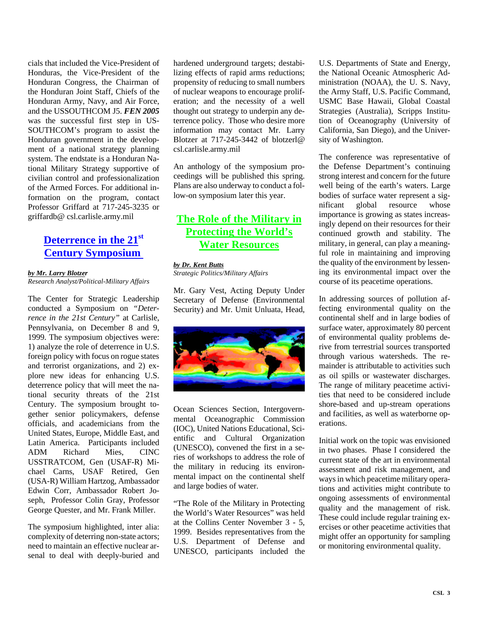cials that included the Vice-President of Honduras, the Vice-President of the Honduran Congress, the Chairman of the Honduran Joint Staff, Chiefs of the Honduran Army, Navy, and Air Force, and the USSOUTHCOM J5. *FEN 2005*  was the successful first step in US-SOUTHCOM's program to assist the Honduran government in the development of a national strategy planning system. The endstate is a Honduran National Military Strategy supportive of civilian control and professionalization of the Armed Forces. For additional information on the program, contact Professor Griffard at 717-245-3235 or grif fardb@ csl.carlisle.army.mil

## **Deterrence in the 21st Century Symposium**

#### *by Mr. Larry Blotzer*

*Research Analyst/Political-Military Affairs* 

The Center for Strategic Leadership conducted a Symposium on "Deter*rence in the 21st Century"* at Carlisle, Pennsylvania, on December 8 and 9, 1999. The symposium objectives were: 1) analyze the role of deterrence in U.S. for eign policy with focus on rogue states and terrorist organizations, and 2) explore new ideas for enhancing U.S. deterrence policy that will meet the national security threats of the 21st Century. The symposium brought together senior policymakers, defense officials, and academicians from the United States, Europe, Middle East, and Latin America. Participants included ADM Richard Mies, CINC USSTRATCOM, Gen (USAF-R) Michael Carns, USAF Retired, Gen (USA-R) William Hartzog, Ambassador Edwin Corr, Ambassador Robert Joseph, Professor Colin Gray, Professor George Quester, and Mr. Frank Miller.

The symposium highlighted, inter alia: complexity of deterring non-state actors; need to maintain an effective nuclear arsenal to deal with deeply-buried and

hardened underground targets; destabilizing effects of rapid arms reductions; propensity of reducing to small numbers of nuclear weapons to encourage proliferation; and the necessity of a well thought out strategy to underpin any deterrence policy. Those who desire more information may contact Mr. Larry Blotzer at 717-245-3442 of blotzerl@ csl.carlisle.army.mil

An anthology of the symposium proceedings will be published this spring. Plans are also underway to conduct a follow-on symposium later this year.

## **The Role of the Military in Protecting the World's Water Resources**

#### *by Dr. Kent Butts*

*Strategic Politics/Military Affairs* 

Mr. Gary Vest, Acting Deputy Under Secretary of Defense (Environmental Security) and Mr. Umit Unluata, Head,



Ocean Sciences Section, Intergovernmental Oceanographic Commission (IOC), United Nations Educational, Scientific and Cultural Organization (UNESCO), convened the first in a series of workshops to address the role of the military in reducing its environmental impact on the continental shelf and large bodies of water.

"The Role of the Military in Protecting the World's Water Resources" was held at the Collins Center November 3 - 5, 1999. Besides representatives from the U.S. Department of Defense and UNESCO, participants included the U.S. Departments of State and Energy, the National Oceanic Atmospheric Administration (NOAA), the U.S. Navy, the Army Staff, U.S. Pacific Command, USMC Base Hawaii, Global Coastal Strategies (Australia), Scripps Institution of Oceanography (University of California, San Diego), and the University of Washington.

The conference was representative of the Defense Department's continuing strong interest and concern for the future well being of the earth's waters. Large bodies of surface water represent a significant global resource whose importance is growing as states increasingly depend on their resources for their continued growth and stability. The military, in general, can play a meaningful role in maintaining and improving the quality of the environment by lessening its environmental impact over the course of its peacetime operations.

In addressing sources of pollution affecting environmental quality on the continental shelf and in large bodies of surface water, approximately 80 percent of environmental quality problems derive from terrestrial sources transported through various watersheds. The remainder is attributable to activities such as oil spills or wastewater discharges. The range of military peacetime activities that need to be considered include shore-based and up-stream operations and facilities, as well as waterborne operations.

Initial work on the topic was envisioned in two phases. Phase I considered the current state of the art in environmental assessment and risk management, and ways in which peacetime military operations and activities might contribute to ongoing assessments of environmental quality and the management of risk. These could include regular training exercises or other peacetime activities that might offer an opportunity for sampling or monitoring environmental quality.